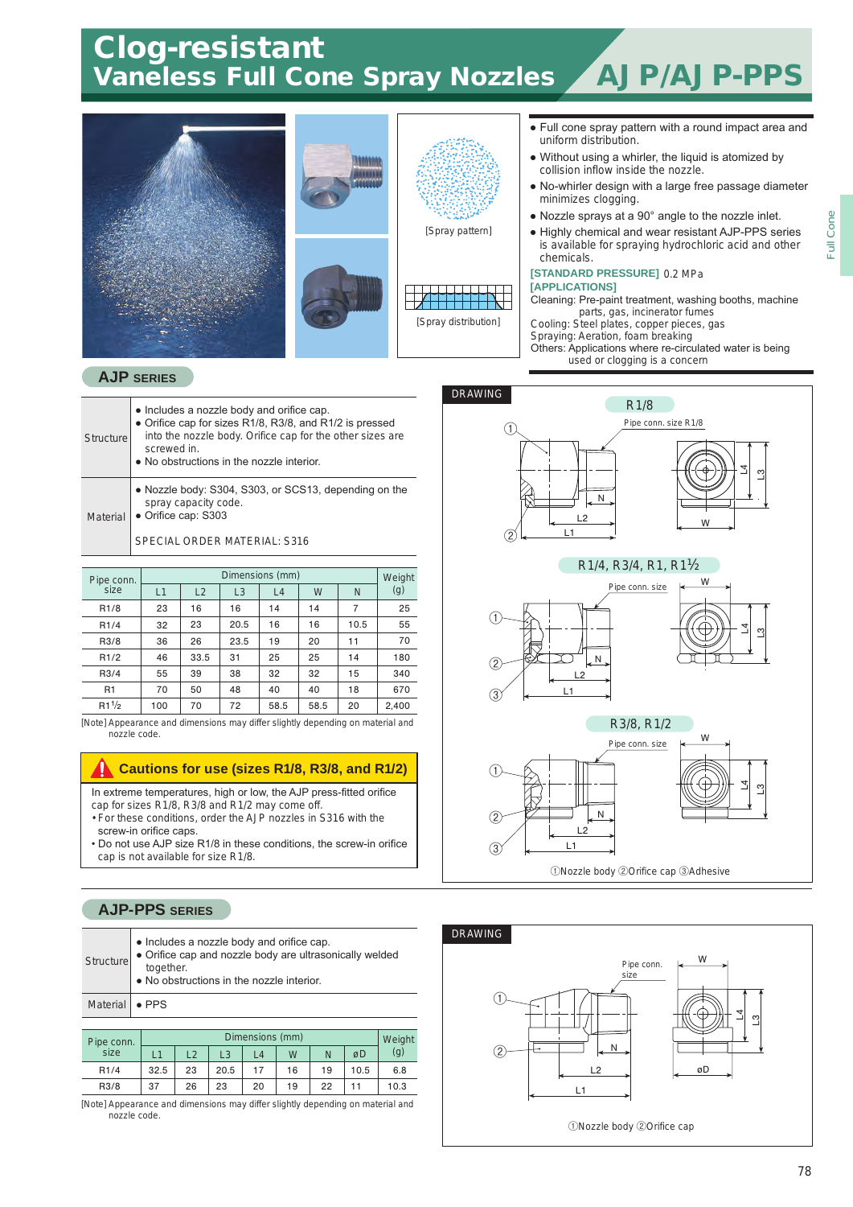# Clog-resistant<br>Vaneless Full Cone Spray Nozzles AJP/AJP-PPS

Full Cone

Full Cone



#### **AJP SERIES**

- Includes a nozzle body and orifice cap. • Orifice cap for sizes R1/8, R3/8, and R1/2 is pressed into the nozzle body. Orifice cap for the other sizes are screwed in. ● No obstructions in the nozzle interior. ● Nozzle body: S304, S303, or SCS13, depending on the spray capacity code. **Structure**
- Orifice cap: S303 **Material**

SPECIAL ORDER MATERIAL: S316

| Pipe conn.        | Dimensions (mm) |      |      |      |      |      |       |  |  |  |  |
|-------------------|-----------------|------|------|------|------|------|-------|--|--|--|--|
| size              | L1              | L2   | L3   | L4   | W    | N    | (g)   |  |  |  |  |
| R <sub>1/8</sub>  | 23              | 16   | 16   | 14   | 14   | 7    | 25    |  |  |  |  |
| R <sub>1</sub> /4 | 32              | 23   | 20.5 | 16   | 16   | 10.5 | 55    |  |  |  |  |
| R3/8              | 36              | 26   | 23.5 | 19   | 20   | 11   | 70    |  |  |  |  |
| R1/2              | 46              | 33.5 | 31   | 25   | 25   | 14   | 180   |  |  |  |  |
| R3/4              | 55              | 39   | 38   | 32   | 32   | 15   | 340   |  |  |  |  |
| R1                | 70              | 50   | 48   | 40   | 40   | 18   | 670   |  |  |  |  |
| $R1^{1/2}$        | 100             | 70   | 72   | 58.5 | 58.5 | 20   | 2,400 |  |  |  |  |

[Note] Appearance and dimensions may differ slightly depending on material and nozzle code.

### **Cautions for use (sizes R1/8, R3/8, and R1/2)**

In extreme temperatures, high or low, the AJP press-fitted orifice

- cap for sizes R1/8, R3/8 and R1/2 may come off. • For these conditions, order the AJP nozzles in S316 with the
- screw-in orifice caps.
- Do not use AJP size R1/8 in these conditions, the screw-in orifice cap is not available for size R1/8.

### **AJP-PPS SERIES**

| Structure        | • Includes a nozzle body and orifice cap.<br>• Orifice cap and nozzle body are ultrasonically welded<br>together.<br>. No obstructions in the nozzle interior. |
|------------------|----------------------------------------------------------------------------------------------------------------------------------------------------------------|
| Material   • PPS |                                                                                                                                                                |

| Pipe conn. | Dimensions (mm) |    |      |    |    |    |      |      |  |  |
|------------|-----------------|----|------|----|----|----|------|------|--|--|
| size       |                 | 12 | L3   | L4 | W  | N  | øD   | (g)  |  |  |
| R1/4       | 32.5            | 23 | 20.5 | 17 | 16 | 19 | 10.5 | 6.8  |  |  |
| R3/8       | 37              | 26 | 23   | 20 | 19 | 22 |      | 10.3 |  |  |

[Note] Appearance and dimensions may differ slightly depending on material and nozzle code.



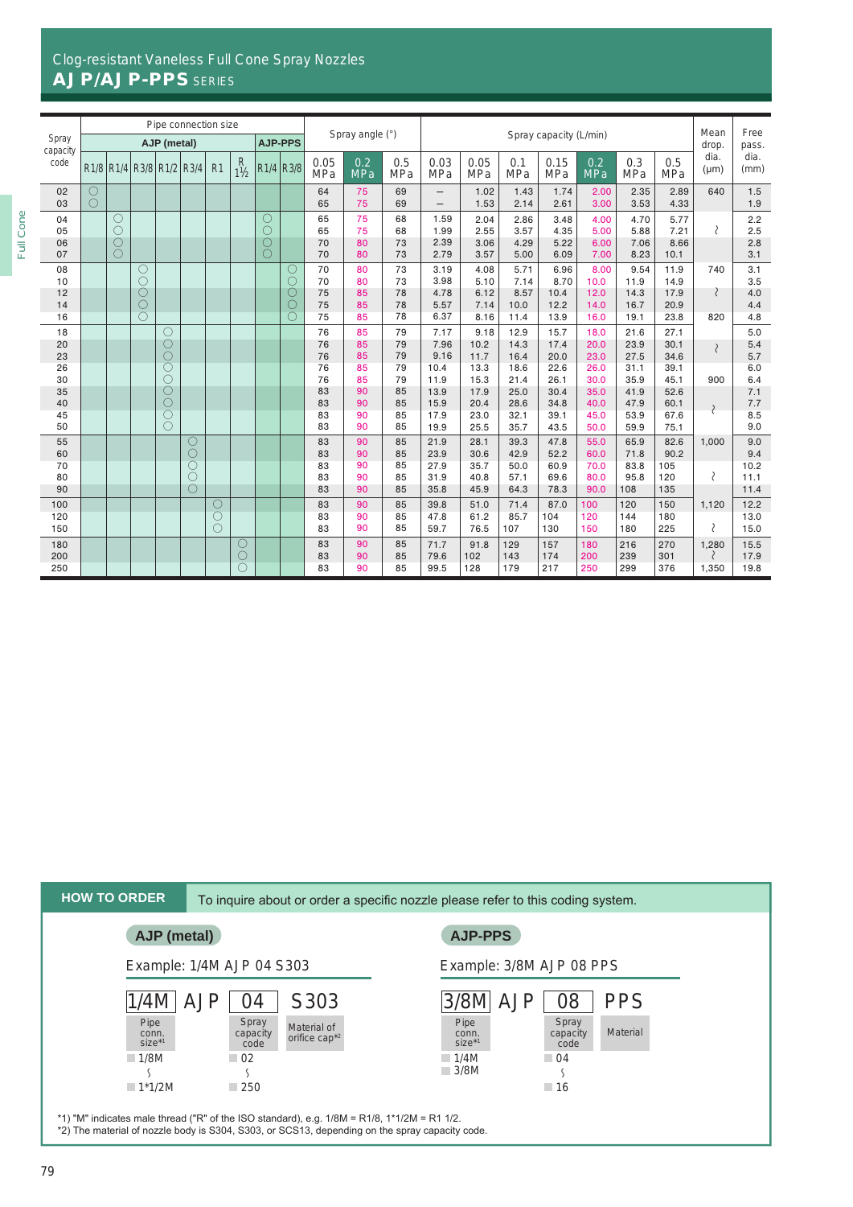## Clog-resistant Vaneless Full Cone Spray Nozzles AJP/AJP-PPS SERIES

|                      | Pipe connection size |                        |                                                                                           | Spray angle (°)<br>Spray capacity (L/min) |                      |                |                                                      |   |                                   | Mean                 | Free                 |                      |                              |                              |                              |                              |                              |                              |                              |                     |                          |
|----------------------|----------------------|------------------------|-------------------------------------------------------------------------------------------|-------------------------------------------|----------------------|----------------|------------------------------------------------------|---|-----------------------------------|----------------------|----------------------|----------------------|------------------------------|------------------------------|------------------------------|------------------------------|------------------------------|------------------------------|------------------------------|---------------------|--------------------------|
| Spray<br>capacity    |                      |                        |                                                                                           | AJP (metal)                               |                      |                |                                                      |   | <b>AJP-PPS</b>                    |                      |                      |                      |                              |                              |                              | drop.                        | pass.                        |                              |                              |                     |                          |
| code                 |                      |                        | R <sub>1</sub> /8 R <sub>1</sub> /4 R <sub>3</sub> /8 R <sub>1</sub> /2 R <sub>3</sub> /4 |                                           |                      | R <sub>1</sub> | $R$ <sub>1</sub> <sup><math>\frac{1}{2}</math></sup> |   | $R1/4$ $R3/8$                     | 0.05<br><b>MPa</b>   | 0.2<br><b>MPa</b>    | 0.5<br>MPa           | 0.03<br>MPa                  | 0.05<br><b>MPa</b>           | 0.1<br><b>MPa</b>            | 0.15<br><b>MPa</b>           | 0.2<br><b>MPa</b>            | 0.3<br><b>MPa</b>            | 0.5<br><b>MPa</b>            | dia.<br>$(\mu m)$   | dia.<br>(mm)             |
| 02<br>03             | O<br>0               |                        |                                                                                           |                                           |                      |                |                                                      |   |                                   | 64<br>65             | 75<br>75             | 69<br>69             | —                            | 1.02<br>1.53                 | 1.43<br>2.14                 | 1.74<br>2.61                 | 2.00<br>3.00                 | 2.35<br>3.53                 | 2.89<br>4.33                 | 640                 | 1.5<br>1.9               |
| 04<br>05<br>06<br>07 |                      | О<br>O<br>$\circ$<br>0 |                                                                                           |                                           |                      |                |                                                      | О |                                   | 65<br>65<br>70<br>70 | 75<br>75<br>80<br>80 | 68<br>68<br>73<br>73 | 1.59<br>1.99<br>2.39<br>2.79 | 2.04<br>2.55<br>3.06<br>3.57 | 2.86<br>3.57<br>4.29<br>5.00 | 3.48<br>4.35<br>5.22<br>6.09 | 4.00<br>5.00<br>6.00<br>7.00 | 4.70<br>5.88<br>7.06<br>8.23 | 5.77<br>7.21<br>8.66<br>10.1 | $\mathcal{P}$       | 2.2<br>2.5<br>2.8<br>3.1 |
| 08<br>10<br>12       |                      |                        | O<br>O<br>O                                                                               |                                           |                      |                |                                                      |   | $\circlearrowright$<br>$\bigcirc$ | 70<br>70<br>75       | 80<br>80<br>85       | 73<br>73<br>78       | 3.19<br>3.98<br>4.78         | 4.08<br>5.10<br>6.12         | 5.71<br>7.14<br>8.57         | 6.96<br>8.70<br>10.4         | 8.00<br>10.0<br>12.0         | 9.54<br>11.9<br>14.3         | 11.9<br>14.9<br>17.9         | 740                 | 3.1<br>3.5<br>4.0        |
| 14<br>16             |                      |                        | O<br>C                                                                                    |                                           |                      |                |                                                      |   | О                                 | 75<br>75             | 85<br>85             | 78<br>78             | 5.57<br>6.37                 | 7.14<br>8.16                 | 10.0<br>11.4                 | 12.2<br>13.9                 | 14.0<br>16.0                 | 16.7<br>19.1                 | 20.9<br>23.8                 | 820                 | 4.4<br>4.8               |
| 18<br>20<br>23       |                      |                        |                                                                                           | О<br>$\circlearrowright$<br>$\bigcirc$    |                      |                |                                                      |   |                                   | 76<br>76<br>76       | 85<br>85<br>85       | 79<br>79<br>79       | 7.17<br>7.96<br>9.16         | 9.18<br>10.2<br>11.7         | 12.9<br>14.3<br>16.4         | 15.7<br>17.4<br>20.0         | 18.0<br>20.0<br>23.0         | 21.6<br>23.9<br>27.5         | 27.1<br>30.1<br>34.6         | $\mathcal{E}$       | 5.0<br>5.4<br>5.7        |
| 26<br>30<br>35       |                      |                        |                                                                                           | Ō<br>O<br>О                               |                      |                |                                                      |   |                                   | 76<br>76<br>83       | 85<br>85<br>90       | 79<br>79<br>85       | 10.4<br>11.9<br>13.9         | 13.3<br>15.3<br>17.9         | 18.6<br>21.4<br>25.0         | 22.6<br>26.1<br>30.4         | 26.0<br>30.0<br>35.0         | 31.1<br>35.9<br>41.9         | 39.1<br>45.1<br>52.6         | 900                 | 6.0<br>6.4<br>7.1        |
| 40<br>45             |                      |                        |                                                                                           | О<br>C                                    |                      |                |                                                      |   |                                   | 83<br>83             | 90<br>90             | 85<br>85             | 15.9<br>17.9                 | 20.4<br>23.0                 | 28.6<br>32.1                 | 34.8<br>39.1                 | 40.0<br>45.0                 | 47.9<br>53.9                 | 60.1<br>67.6                 |                     | 7.7<br>8.5               |
| 50<br>55             |                      |                        |                                                                                           | $\bigcirc$                                |                      |                |                                                      |   |                                   | 83<br>83             | 90<br>90             | 85<br>85             | 19.9<br>21.9                 | 25.5<br>28.1                 | 35.7<br>39.3                 | 43.5<br>47.8                 | 50.0<br>55.0                 | 59.9<br>65.9                 | 75.1<br>82.6                 | 1.000               | 9.0<br>9.0               |
| 60                   |                      |                        |                                                                                           |                                           | О<br>C               |                |                                                      |   |                                   | 83                   | 90                   | 85                   | 23.9                         | 30.6                         | 42.9                         | 52.2                         | 60.0                         | 71.8                         | 90.2                         |                     | 9.4                      |
| 70<br>80<br>90       |                      |                        |                                                                                           |                                           | C<br>С<br>$\bigcirc$ |                |                                                      |   |                                   | 83<br>83<br>83       | 90<br>90<br>90       | 85<br>85<br>85       | 27.9<br>31.9<br>35.8         | 35.7<br>40.8<br>45.9         | 50.0<br>57.1<br>64.3         | 60.9<br>69.6<br>78.3         | 70.0<br>80.0<br>90.0         | 83.8<br>95.8<br>108          | 105<br>120<br>135            | 冫                   | 10.2<br>11.1<br>11.4     |
| 100                  |                      |                        |                                                                                           |                                           |                      | О              |                                                      |   |                                   | 83                   | 90                   | 85                   | 39.8                         | 51.0                         | 71.4                         | 87.0                         | 100                          | 120                          | 150                          | 1,120               | 12.2                     |
| 120<br>150           |                      |                        |                                                                                           |                                           |                      | Ċ<br>0         |                                                      |   |                                   | 83<br>83             | 90<br>90             | 85<br>85             | 47.8<br>59.7                 | 61.2<br>76.5                 | 85.7<br>107                  | 104<br>130                   | 120<br>150                   | 144<br>180                   | 180<br>225                   | ₹                   | 13.0<br>15.0             |
| 180<br>200<br>250    |                      |                        |                                                                                           |                                           |                      |                | $\bigcirc$<br>O                                      |   |                                   | 83<br>83<br>83       | 90<br>90<br>90       | 85<br>85<br>85       | 71.7<br>79.6<br>99.5         | 91.8<br>102<br>128           | 129<br>143<br>179            | 157<br>174<br>217            | 180<br>200<br>250            | 216<br>239<br>299            | 270<br>301<br>376            | 1,280<br>₹<br>1,350 | 15.5<br>17.9<br>19.8     |